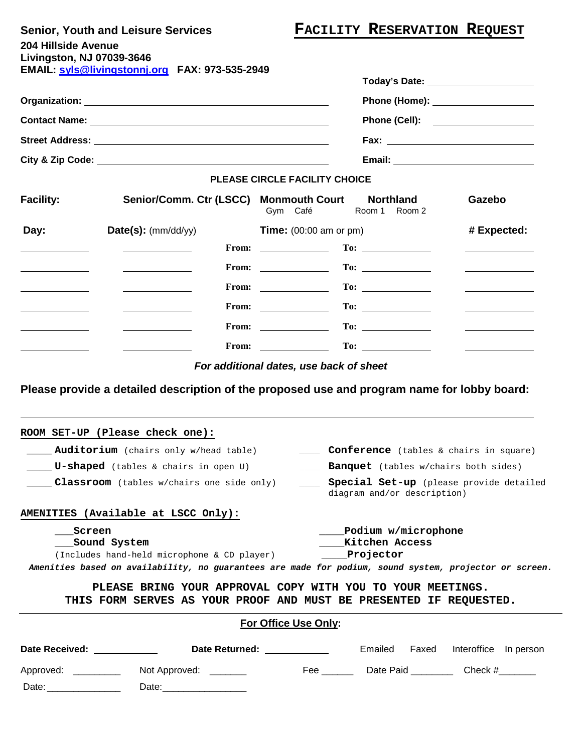## **Senior, Youth and Leisure Services FACILITY RESERVATION REQUEST**

| <b>OUTION TOURT QUATEDIOUTS OUT TIOUS</b>             |  |
|-------------------------------------------------------|--|
| <b>204 Hillside Avenue</b>                            |  |
| Livingston, NJ 07039-3646                             |  |
| <b>EMAIL: syls@livingstonnj.org FAX: 973-535-2949</b> |  |
|                                                       |  |

|                      |                                                                                                                                                                                                                                      | Today's Date: 1988 1999                                                                                                                                           |  |  |  |
|----------------------|--------------------------------------------------------------------------------------------------------------------------------------------------------------------------------------------------------------------------------------|-------------------------------------------------------------------------------------------------------------------------------------------------------------------|--|--|--|
|                      |                                                                                                                                                                                                                                      | Phone (Home): _____________________                                                                                                                               |  |  |  |
|                      |                                                                                                                                                                                                                                      | Phone (Cell): <u>_________________</u>                                                                                                                            |  |  |  |
|                      |                                                                                                                                                                                                                                      |                                                                                                                                                                   |  |  |  |
|                      | City & Zip Code: <u>contract and the contract of the contract of the contract of the contract of the contract of the contract of the contract of the contract of the contract of the contract of the contract of the contract of</u> |                                                                                                                                                                   |  |  |  |
|                      |                                                                                                                                                                                                                                      | PLEASE CIRCLE FACILITY CHOICE                                                                                                                                     |  |  |  |
| <b>Facility:</b>     | Senior/Comm. Ctr (LSCC) Monmouth Court                                                                                                                                                                                               | <b>Northland</b><br>Gazebo<br>Gym Café<br>Room 1 Room 2                                                                                                           |  |  |  |
| Day:                 | $Date(s)$ : (mm/dd/yy)                                                                                                                                                                                                               | # Expected:<br><b>Time:</b> $(00:00$ am or pm)                                                                                                                    |  |  |  |
|                      |                                                                                                                                                                                                                                      | From: $\qquad \qquad$                                                                                                                                             |  |  |  |
|                      |                                                                                                                                                                                                                                      | From: $\qquad \qquad$<br><u> Listen van die Stad van die Stad van die</u>                                                                                         |  |  |  |
|                      |                                                                                                                                                                                                                                      | From: $\qquad \qquad$<br><u>and the state of the state</u>                                                                                                        |  |  |  |
|                      |                                                                                                                                                                                                                                      | $To: \_\_$                                                                                                                                                        |  |  |  |
|                      |                                                                                                                                                                                                                                      | From: $\qquad \qquad$<br>$\overline{\phantom{a}}$ and $\overline{\phantom{a}}$ and $\overline{\phantom{a}}$                                                       |  |  |  |
|                      |                                                                                                                                                                                                                                      | From: $\qquad \qquad$                                                                                                                                             |  |  |  |
|                      |                                                                                                                                                                                                                                      |                                                                                                                                                                   |  |  |  |
|                      | ROOM SET-UP (Please check one):<br>Auditorium (chairs only w/head table)                                                                                                                                                             | ____ <b>Conference</b> (tables & chairs in square)                                                                                                                |  |  |  |
|                      | ____ <b>U-shaped</b> (tables & chairs in open U)                                                                                                                                                                                     | _____ Banquet (tables w/chairs both sides)                                                                                                                        |  |  |  |
|                      | <b>Classroom</b> (tables w/chairs one side only)                                                                                                                                                                                     | Special Set-up (please provide detailed<br>diagram and/or description)                                                                                            |  |  |  |
|                      | AMENITIES (Available at LSCC Only):                                                                                                                                                                                                  |                                                                                                                                                                   |  |  |  |
| Screen               | __Sound System<br>(Includes hand-held microphone & CD player)                                                                                                                                                                        | Podium w/microphone<br>Kitchen Access<br>_____Projector<br>Amenities based on availability, no guarantees are made for podium, sound system, projector or screen. |  |  |  |
|                      |                                                                                                                                                                                                                                      | PLEASE BRING YOUR APPROVAL COPY WITH YOU TO YOUR MEETINGS.<br>THIS FORM SERVES AS YOUR PROOF AND MUST BE PRESENTED IF REQUESTED.                                  |  |  |  |
|                      |                                                                                                                                                                                                                                      | For Office Use Only:                                                                                                                                              |  |  |  |
|                      | Date Received: _____________                                                                                                                                                                                                         | Date Returned: _____________<br>Emailed Faxed Interoffice In person                                                                                               |  |  |  |
| Approved: __________ | Not Approved: ________                                                                                                                                                                                                               | Fee _____________Date Paid ___________________Check #____________                                                                                                 |  |  |  |

Date: \_\_\_\_\_\_\_\_\_\_\_\_\_\_ Date:\_\_\_\_\_\_\_\_\_\_\_\_\_\_\_\_